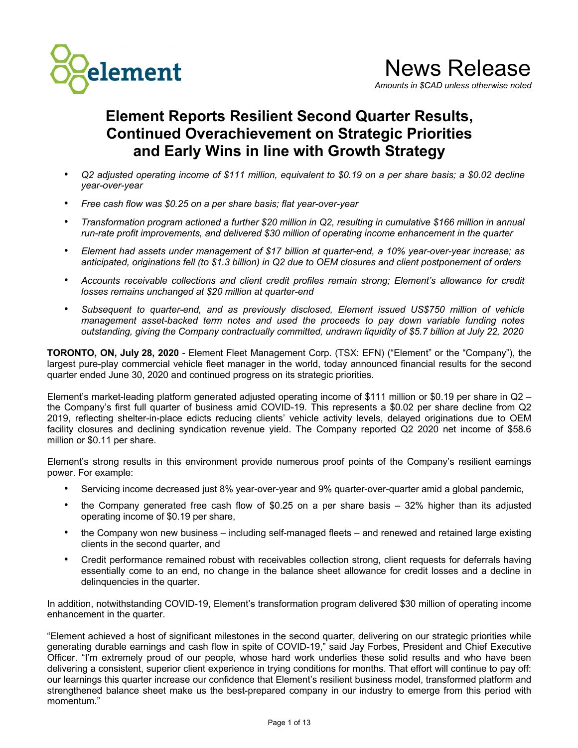

**Element Reports Resilient Second Quarter Results, Continued Overachievement on Strategic Priorities and Early Wins in line with Growth Strategy**

- *• Q2 adjusted operating income of \$111 million, equivalent to \$0.19 on a per share basis; a \$0.02 decline year-over-year*
- *Free cash flow was \$0.25 on a per share basis; flat year-over-year*
- *• Transformation program actioned a further \$20 million in Q2, resulting in cumulative \$166 million in annual run-rate profit improvements, and delivered \$30 million of operating income enhancement in the quarter*
- *• Element had assets under management of \$17 billion at quarter-end, a 10% year-over-year increase; as anticipated, originations fell (to \$1.3 billion) in Q2 due to OEM closures and client postponement of orders*
- *Accounts receivable collections and client credit profiles remain strong; Element's allowance for credit losses remains unchanged at \$20 million at quarter-end*
- *Subsequent to quarter-end, and as previously disclosed, Element issued US\$750 million of vehicle management asset-backed term notes and used the proceeds to pay down variable funding notes outstanding, giving the Company contractually committed, undrawn liquidity of \$5.7 billion at July 22, 2020*

**TORONTO, ON, July 28, 2020** - Element Fleet Management Corp. (TSX: EFN) ("Element" or the "Company"), the largest pure-play commercial vehicle fleet manager in the world, today announced financial results for the second quarter ended June 30, 2020 and continued progress on its strategic priorities.

Element's market-leading platform generated adjusted operating income of \$111 million or \$0.19 per share in Q2 – the Company's first full quarter of business amid COVID-19. This represents a \$0.02 per share decline from Q2 2019, reflecting shelter-in-place edicts reducing clients' vehicle activity levels, delayed originations due to OEM facility closures and declining syndication revenue yield. The Company reported Q2 2020 net income of \$58.6 million or \$0.11 per share.

Element's strong results in this environment provide numerous proof points of the Company's resilient earnings power. For example:

- Servicing income decreased just 8% year-over-year and 9% quarter-over-quarter amid a global pandemic,
- the Company generated free cash flow of \$0.25 on a per share basis 32% higher than its adjusted operating income of \$0.19 per share,
- the Company won new business including self-managed fleets and renewed and retained large existing clients in the second quarter, and
- Credit performance remained robust with receivables collection strong, client requests for deferrals having essentially come to an end, no change in the balance sheet allowance for credit losses and a decline in delinquencies in the quarter.

In addition, notwithstanding COVID-19, Element's transformation program delivered \$30 million of operating income enhancement in the quarter.

"Element achieved a host of significant milestones in the second quarter, delivering on our strategic priorities while generating durable earnings and cash flow in spite of COVID-19," said Jay Forbes, President and Chief Executive Officer. "I'm extremely proud of our people, whose hard work underlies these solid results and who have been delivering a consistent, superior client experience in trying conditions for months. That effort will continue to pay off: our learnings this quarter increase our confidence that Element's resilient business model, transformed platform and strengthened balance sheet make us the best-prepared company in our industry to emerge from this period with momentum."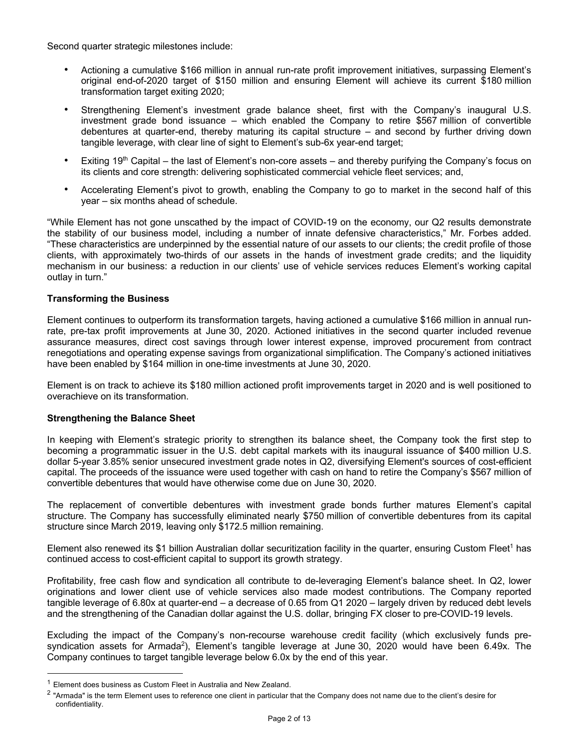Second quarter strategic milestones include:

- Actioning a cumulative \$166 million in annual run-rate profit improvement initiatives, surpassing Element's original end-of-2020 target of \$150 million and ensuring Element will achieve its current \$180 million transformation target exiting 2020;
- *•* Strengthening Element's investment grade balance sheet, first with the Company's inaugural U.S. investment grade bond issuance – which enabled the Company to retire \$567 million of convertible debentures at quarter-end, thereby maturing its capital structure – and second by further driving down tangible leverage, with clear line of sight to Element's sub-6x year-end target;
- Exiting  $19<sup>th</sup>$  Capital the last of Element's non-core assets and thereby purifying the Company's focus on its clients and core strength: delivering sophisticated commercial vehicle fleet services; and,
- Accelerating Element's pivot to growth, enabling the Company to go to market in the second half of this year – six months ahead of schedule.

"While Element has not gone unscathed by the impact of COVID-19 on the economy, our Q2 results demonstrate the stability of our business model, including a number of innate defensive characteristics," Mr. Forbes added. "These characteristics are underpinned by the essential nature of our assets to our clients; the credit profile of those clients, with approximately two-thirds of our assets in the hands of investment grade credits; and the liquidity mechanism in our business: a reduction in our clients' use of vehicle services reduces Element's working capital outlay in turn."

## **Transforming the Business**

Element continues to outperform its transformation targets, having actioned a cumulative \$166 million in annual runrate, pre-tax profit improvements at June 30, 2020. Actioned initiatives in the second quarter included revenue assurance measures, direct cost savings through lower interest expense, improved procurement from contract renegotiations and operating expense savings from organizational simplification. The Company's actioned initiatives have been enabled by \$164 million in one-time investments at June 30, 2020.

Element is on track to achieve its \$180 million actioned profit improvements target in 2020 and is well positioned to overachieve on its transformation.

## **Strengthening the Balance Sheet**

In keeping with Element's strategic priority to strengthen its balance sheet, the Company took the first step to becoming a programmatic issuer in the U.S. debt capital markets with its inaugural issuance of \$400 million U.S. dollar 5-year 3.85% senior unsecured investment grade notes in Q2, diversifying Element's sources of cost-efficient capital. The proceeds of the issuance were used together with cash on hand to retire the Company's \$567 million of convertible debentures that would have otherwise come due on June 30, 2020.

The replacement of convertible debentures with investment grade bonds further matures Element's capital structure. The Company has successfully eliminated nearly \$750 million of convertible debentures from its capital structure since March 2019, leaving only \$172.5 million remaining.

Element also renewed its \$1 billion Australian dollar securitization facility in the quarter, ensuring Custom Fleet<sup>1</sup> has continued access to cost-efficient capital to support its growth strategy.

Profitability, free cash flow and syndication all contribute to de-leveraging Element's balance sheet. In Q2, lower originations and lower client use of vehicle services also made modest contributions. The Company reported tangible leverage of 6.80x at quarter-end – a decrease of 0.65 from Q1 2020 – largely driven by reduced debt levels and the strengthening of the Canadian dollar against the U.S. dollar, bringing FX closer to pre-COVID-19 levels.

Excluding the impact of the Company's non-recourse warehouse credit facility (which exclusively funds presyndication assets for Armada<sup>2</sup>), Element's tangible leverage at June 30, 2020 would have been 6.49x. The Company continues to target tangible leverage below 6.0x by the end of this year.

<sup>1</sup> Element does business as Custom Fleet in Australia and New Zealand.

<sup>&</sup>lt;sup>2</sup> "Armada" is the term Element uses to reference one client in particular that the Company does not name due to the client's desire for confidentiality.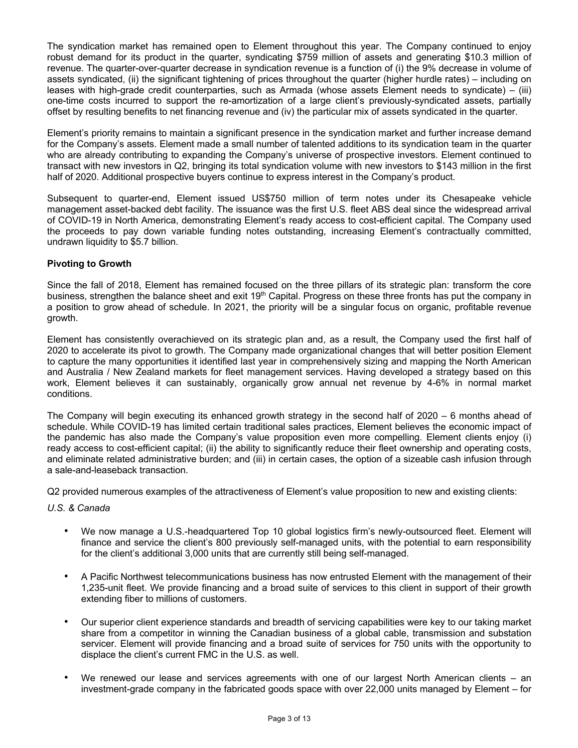The syndication market has remained open to Element throughout this year. The Company continued to enjoy robust demand for its product in the quarter, syndicating \$759 million of assets and generating \$10.3 million of revenue. The quarter-over-quarter decrease in syndication revenue is a function of (i) the 9% decrease in volume of assets syndicated, (ii) the significant tightening of prices throughout the quarter (higher hurdle rates) – including on leases with high-grade credit counterparties, such as Armada (whose assets Element needs to syndicate) – (iii) one-time costs incurred to support the re-amortization of a large client's previously-syndicated assets, partially offset by resulting benefits to net financing revenue and (iv) the particular mix of assets syndicated in the quarter.

Element's priority remains to maintain a significant presence in the syndication market and further increase demand for the Company's assets. Element made a small number of talented additions to its syndication team in the quarter who are already contributing to expanding the Company's universe of prospective investors. Element continued to transact with new investors in Q2, bringing its total syndication volume with new investors to \$143 million in the first half of 2020. Additional prospective buyers continue to express interest in the Company's product.

Subsequent to quarter-end, Element issued US\$750 million of term notes under its Chesapeake vehicle management asset-backed debt facility. The issuance was the first U.S. fleet ABS deal since the widespread arrival of COVID-19 in North America, demonstrating Element's ready access to cost-efficient capital. The Company used the proceeds to pay down variable funding notes outstanding, increasing Element's contractually committed, undrawn liquidity to \$5.7 billion.

## **Pivoting to Growth**

Since the fall of 2018, Element has remained focused on the three pillars of its strategic plan: transform the core business, strengthen the balance sheet and exit 19<sup>th</sup> Capital. Progress on these three fronts has put the company in a position to grow ahead of schedule. In 2021, the priority will be a singular focus on organic, profitable revenue growth.

Element has consistently overachieved on its strategic plan and, as a result, the Company used the first half of 2020 to accelerate its pivot to growth. The Company made organizational changes that will better position Element to capture the many opportunities it identified last year in comprehensively sizing and mapping the North American and Australia / New Zealand markets for fleet management services. Having developed a strategy based on this work, Element believes it can sustainably, organically grow annual net revenue by 4-6% in normal market conditions.

The Company will begin executing its enhanced growth strategy in the second half of 2020 – 6 months ahead of schedule. While COVID-19 has limited certain traditional sales practices, Element believes the economic impact of the pandemic has also made the Company's value proposition even more compelling. Element clients enjoy (i) ready access to cost-efficient capital; (ii) the ability to significantly reduce their fleet ownership and operating costs, and eliminate related administrative burden; and (iii) in certain cases, the option of a sizeable cash infusion through a sale-and-leaseback transaction.

Q2 provided numerous examples of the attractiveness of Element's value proposition to new and existing clients:

*U.S. & Canada*

- *•* We now manage a U.S.-headquartered Top 10 global logistics firm's newly-outsourced fleet. Element will finance and service the client's 800 previously self-managed units, with the potential to earn responsibility for the client's additional 3,000 units that are currently still being self-managed.
- *•* A Pacific Northwest telecommunications business has now entrusted Element with the management of their 1,235-unit fleet. We provide financing and a broad suite of services to this client in support of their growth extending fiber to millions of customers.
- *•* Our superior client experience standards and breadth of servicing capabilities were key to our taking market share from a competitor in winning the Canadian business of a global cable, transmission and substation servicer. Element will provide financing and a broad suite of services for 750 units with the opportunity to displace the client's current FMC in the U.S. as well.
- *•* We renewed our lease and services agreements with one of our largest North American clients an investment-grade company in the fabricated goods space with over 22,000 units managed by Element – for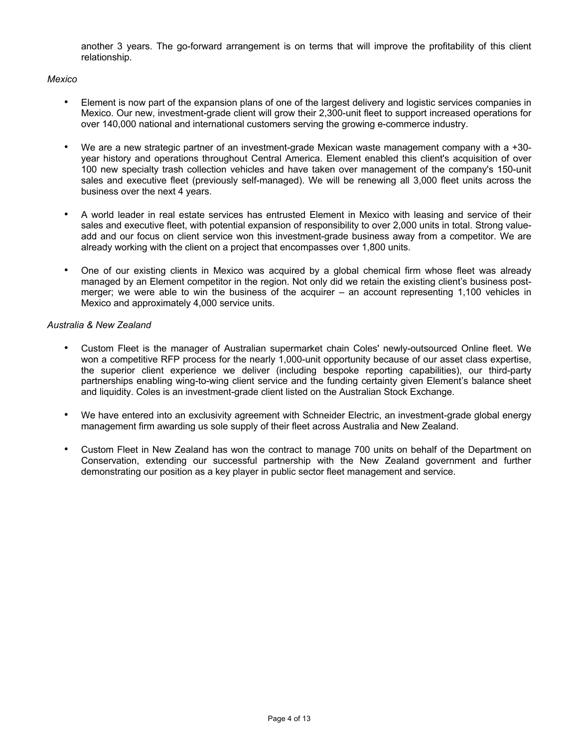another 3 years. The go-forward arrangement is on terms that will improve the profitability of this client relationship.

#### *Mexico*

- *•* Element is now part of the expansion plans of one of the largest delivery and logistic services companies in Mexico. Our new, investment-grade client will grow their 2,300-unit fleet to support increased operations for over 140,000 national and international customers serving the growing e-commerce industry.
- *•* We are a new strategic partner of an investment-grade Mexican waste management company with a +30 year history and operations throughout Central America. Element enabled this client's acquisition of over 100 new specialty trash collection vehicles and have taken over management of the company's 150-unit sales and executive fleet (previously self-managed). We will be renewing all 3,000 fleet units across the business over the next 4 years.
- *•* A world leader in real estate services has entrusted Element in Mexico with leasing and service of their sales and executive fleet, with potential expansion of responsibility to over 2,000 units in total. Strong valueadd and our focus on client service won this investment-grade business away from a competitor. We are already working with the client on a project that encompasses over 1,800 units.
- *•* One of our existing clients in Mexico was acquired by a global chemical firm whose fleet was already managed by an Element competitor in the region. Not only did we retain the existing client's business postmerger; we were able to win the business of the acquirer – an account representing 1,100 vehicles in Mexico and approximately 4,000 service units.

## *Australia & New Zealand*

- *•* Custom Fleet is the manager of Australian supermarket chain Coles' newly-outsourced Online fleet. We won a competitive RFP process for the nearly 1,000-unit opportunity because of our asset class expertise, the superior client experience we deliver (including bespoke reporting capabilities), our third-party partnerships enabling wing-to-wing client service and the funding certainty given Element's balance sheet and liquidity. Coles is an investment-grade client listed on the Australian Stock Exchange.
- We have entered into an exclusivity agreement with Schneider Electric, an investment-grade global energy management firm awarding us sole supply of their fleet across Australia and New Zealand.
- *•* Custom Fleet in New Zealand has won the contract to manage 700 units on behalf of the Department on Conservation, extending our successful partnership with the New Zealand government and further demonstrating our position as a key player in public sector fleet management and service.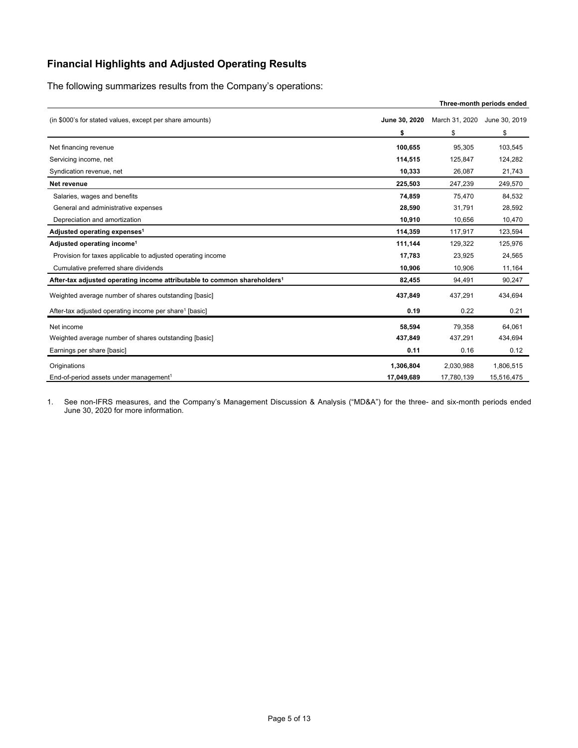# **Financial Highlights and Adjusted Operating Results**

The following summarizes results from the Company's operations:

|                                                                                      |               |                | Three-month periods ended |
|--------------------------------------------------------------------------------------|---------------|----------------|---------------------------|
| (in \$000's for stated values, except per share amounts)                             | June 30, 2020 | March 31, 2020 | June 30, 2019             |
|                                                                                      | \$            | \$             | \$                        |
| Net financing revenue                                                                | 100,655       | 95,305         | 103,545                   |
| Servicing income, net                                                                | 114,515       | 125,847        | 124,282                   |
| Syndication revenue, net                                                             | 10.333        | 26.087         | 21,743                    |
| Net revenue                                                                          | 225,503       | 247,239        | 249,570                   |
| Salaries, wages and benefits                                                         | 74,859        | 75,470         | 84,532                    |
| General and administrative expenses                                                  | 28,590        | 31,791         | 28,592                    |
| Depreciation and amortization                                                        | 10,910        | 10,656         | 10,470                    |
| Adjusted operating expenses <sup>1</sup>                                             | 114,359       | 117,917        | 123,594                   |
| Adjusted operating income <sup>1</sup>                                               | 111,144       | 129,322        | 125,976                   |
| Provision for taxes applicable to adjusted operating income                          | 17,783        | 23,925         | 24,565                    |
| Cumulative preferred share dividends                                                 | 10,906        | 10,906         | 11,164                    |
| After-tax adjusted operating income attributable to common shareholders <sup>1</sup> | 82,455        | 94,491         | 90,247                    |
| Weighted average number of shares outstanding [basic]                                | 437,849       | 437,291        | 434,694                   |
| After-tax adjusted operating income per share <sup>1</sup> [basic]                   | 0.19          | 0.22           | 0.21                      |
| Net income                                                                           | 58.594        | 79.358         | 64.061                    |
| Weighted average number of shares outstanding [basic]                                | 437,849       | 437,291        | 434,694                   |
| Earnings per share [basic]                                                           | 0.11          | 0.16           | 0.12                      |
| Originations                                                                         | 1,306,804     | 2,030,988      | 1,806,515                 |
| End-of-period assets under management <sup>1</sup>                                   | 17,049,689    | 17,780,139     | 15,516,475                |

1. See non-IFRS measures, and the Company's Management Discussion & Analysis ("MD&A") for the three- and six-month periods ended June 30, 2020 for more information.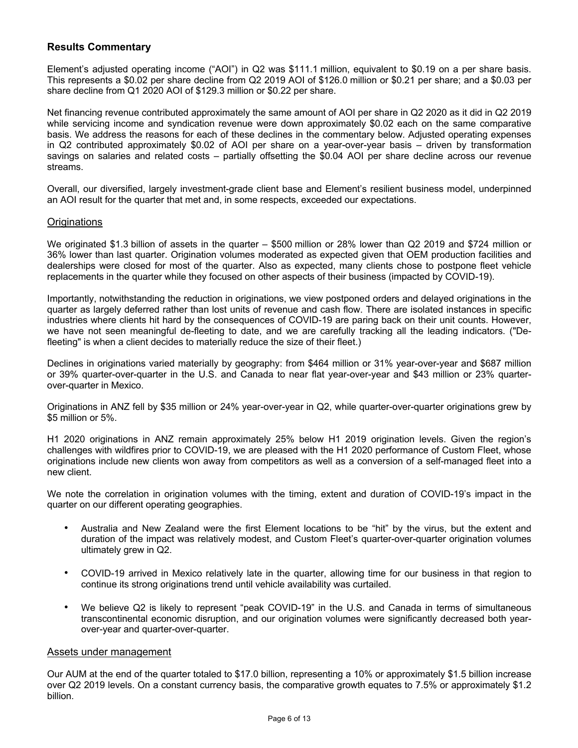## **Results Commentary**

Element's adjusted operating income ("AOI") in Q2 was \$111.1 million, equivalent to \$0.19 on a per share basis. This represents a \$0.02 per share decline from Q2 2019 AOI of \$126.0 million or \$0.21 per share; and a \$0.03 per share decline from Q1 2020 AOI of \$129.3 million or \$0.22 per share.

Net financing revenue contributed approximately the same amount of AOI per share in Q2 2020 as it did in Q2 2019 while servicing income and syndication revenue were down approximately \$0.02 each on the same comparative basis. We address the reasons for each of these declines in the commentary below. Adjusted operating expenses in Q2 contributed approximately \$0.02 of AOI per share on a year-over-year basis – driven by transformation savings on salaries and related costs – partially offsetting the \$0.04 AOI per share decline across our revenue streams.

Overall, our diversified, largely investment-grade client base and Element's resilient business model, underpinned an AOI result for the quarter that met and, in some respects, exceeded our expectations.

#### **Originations**

We originated \$1.3 billion of assets in the quarter – \$500 million or 28% lower than Q2 2019 and \$724 million or 36% lower than last quarter. Origination volumes moderated as expected given that OEM production facilities and dealerships were closed for most of the quarter. Also as expected, many clients chose to postpone fleet vehicle replacements in the quarter while they focused on other aspects of their business (impacted by COVID-19).

Importantly, notwithstanding the reduction in originations, we view postponed orders and delayed originations in the quarter as largely deferred rather than lost units of revenue and cash flow. There are isolated instances in specific industries where clients hit hard by the consequences of COVID-19 are paring back on their unit counts. However, we have not seen meaningful de-fleeting to date, and we are carefully tracking all the leading indicators. ("Defleeting" is when a client decides to materially reduce the size of their fleet.)

Declines in originations varied materially by geography: from \$464 million or 31% year-over-year and \$687 million or 39% quarter-over-quarter in the U.S. and Canada to near flat year-over-year and \$43 million or 23% quarterover-quarter in Mexico.

Originations in ANZ fell by \$35 million or 24% year-over-year in Q2, while quarter-over-quarter originations grew by \$5 million or 5%.

H1 2020 originations in ANZ remain approximately 25% below H1 2019 origination levels. Given the region's challenges with wildfires prior to COVID-19, we are pleased with the H1 2020 performance of Custom Fleet, whose originations include new clients won away from competitors as well as a conversion of a self-managed fleet into a new client.

We note the correlation in origination volumes with the timing, extent and duration of COVID-19's impact in the quarter on our different operating geographies.

- Australia and New Zealand were the first Element locations to be "hit" by the virus, but the extent and duration of the impact was relatively modest, and Custom Fleet's quarter-over-quarter origination volumes ultimately grew in Q2.
- COVID-19 arrived in Mexico relatively late in the quarter, allowing time for our business in that region to continue its strong originations trend until vehicle availability was curtailed.
- We believe Q2 is likely to represent "peak COVID-19" in the U.S. and Canada in terms of simultaneous transcontinental economic disruption, and our origination volumes were significantly decreased both yearover-year and quarter-over-quarter.

#### Assets under management

Our AUM at the end of the quarter totaled to \$17.0 billion, representing a 10% or approximately \$1.5 billion increase over Q2 2019 levels. On a constant currency basis, the comparative growth equates to 7.5% or approximately \$1.2 billion.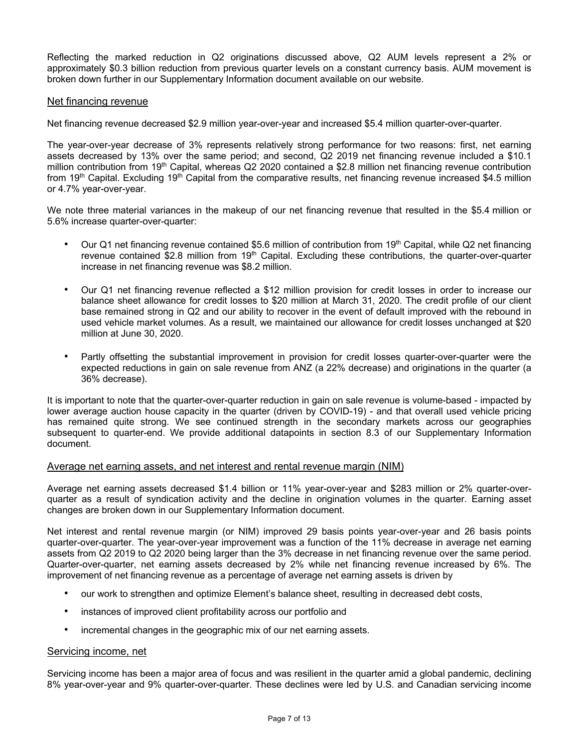Reflecting the marked reduction in Q2 originations discussed above, Q2 AUM levels represent a 2% or approximately \$0.3 billion reduction from previous quarter levels on a constant currency basis. AUM movement is broken down further in our Supplementary Information document available on our website.

#### Net financing revenue

Net financing revenue decreased \$2.9 million year-over-year and increased \$5.4 million quarter-over-quarter.

The year-over-year decrease of 3% represents relatively strong performance for two reasons: first, net earning assets decreased by 13% over the same period; and second, Q2 2019 net financing revenue included a \$10.1 million contribution from  $19<sup>th</sup>$  Capital, whereas Q2 2020 contained a \$2.8 million net financing revenue contribution from 19<sup>th</sup> Capital. Excluding 19<sup>th</sup> Capital from the comparative results, net financing revenue increased \$4.5 million or 4.7% year-over-year.

We note three material variances in the makeup of our net financing revenue that resulted in the \$5.4 million or 5.6% increase quarter-over-quarter:

- Our Q1 net financing revenue contained \$5.6 million of contribution from 19<sup>th</sup> Capital, while Q2 net financing revenue contained \$2.8 million from  $19<sup>th</sup>$  Capital. Excluding these contributions, the quarter-over-quarter increase in net financing revenue was \$8.2 million.
- Our Q1 net financing revenue reflected a \$12 million provision for credit losses in order to increase our balance sheet allowance for credit losses to \$20 million at March 31, 2020. The credit profile of our client base remained strong in Q2 and our ability to recover in the event of default improved with the rebound in used vehicle market volumes. As a result, we maintained our allowance for credit losses unchanged at \$20 million at June 30, 2020.
- Partly offsetting the substantial improvement in provision for credit losses quarter-over-quarter were the expected reductions in gain on sale revenue from ANZ (a 22% decrease) and originations in the quarter (a 36% decrease).

It is important to note that the quarter-over-quarter reduction in gain on sale revenue is volume-based - impacted by lower average auction house capacity in the quarter (driven by COVID-19) - and that overall used vehicle pricing has remained quite strong. We see continued strength in the secondary markets across our geographies subsequent to quarter-end. We provide additional datapoints in section 8.3 of our Supplementary Information document.

#### Average net earning assets, and net interest and rental revenue margin (NIM)

Average net earning assets decreased \$1.4 billion or 11% year-over-year and \$283 million or 2% quarter-overquarter as a result of syndication activity and the decline in origination volumes in the quarter. Earning asset changes are broken down in our Supplementary Information document.

Net interest and rental revenue margin (or NIM) improved 29 basis points year-over-year and 26 basis points quarter-over-quarter. The year-over-year improvement was a function of the 11% decrease in average net earning assets from Q2 2019 to Q2 2020 being larger than the 3% decrease in net financing revenue over the same period. Quarter-over-quarter, net earning assets decreased by 2% while net financing revenue increased by 6%. The improvement of net financing revenue as a percentage of average net earning assets is driven by

- our work to strengthen and optimize Element's balance sheet, resulting in decreased debt costs,
- instances of improved client profitability across our portfolio and
- incremental changes in the geographic mix of our net earning assets.

#### Servicing income, net

Servicing income has been a major area of focus and was resilient in the quarter amid a global pandemic, declining 8% year-over-year and 9% quarter-over-quarter. These declines were led by U.S. and Canadian servicing income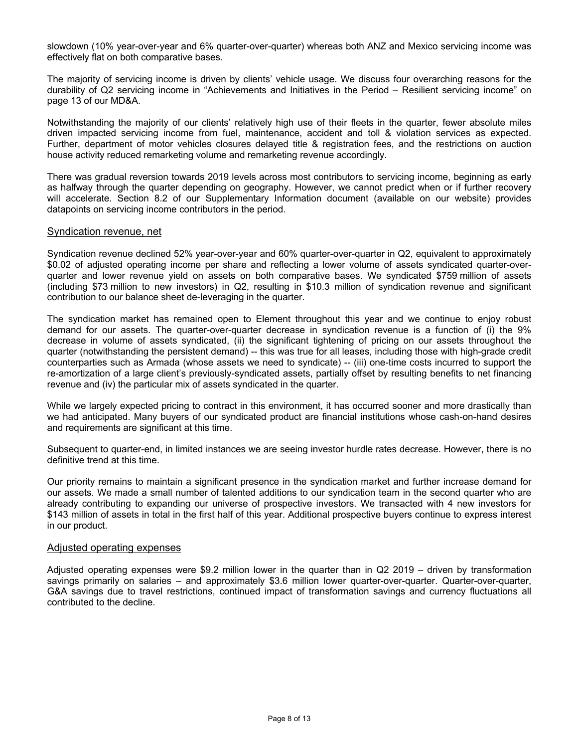slowdown (10% year-over-year and 6% quarter-over-quarter) whereas both ANZ and Mexico servicing income was effectively flat on both comparative bases.

The majority of servicing income is driven by clients' vehicle usage. We discuss four overarching reasons for the durability of Q2 servicing income in "Achievements and Initiatives in the Period – Resilient servicing income" on page 13 of our MD&A.

Notwithstanding the majority of our clients' relatively high use of their fleets in the quarter, fewer absolute miles driven impacted servicing income from fuel, maintenance, accident and toll & violation services as expected. Further, department of motor vehicles closures delayed title & registration fees, and the restrictions on auction house activity reduced remarketing volume and remarketing revenue accordingly.

There was gradual reversion towards 2019 levels across most contributors to servicing income, beginning as early as halfway through the quarter depending on geography. However, we cannot predict when or if further recovery will accelerate. Section 8.2 of our Supplementary Information document (available on our website) provides datapoints on servicing income contributors in the period.

#### Syndication revenue, net

Syndication revenue declined 52% year-over-year and 60% quarter-over-quarter in Q2, equivalent to approximately \$0.02 of adjusted operating income per share and reflecting a lower volume of assets syndicated quarter-overquarter and lower revenue yield on assets on both comparative bases. We syndicated \$759 million of assets (including \$73 million to new investors) in Q2, resulting in \$10.3 million of syndication revenue and significant contribution to our balance sheet de-leveraging in the quarter.

The syndication market has remained open to Element throughout this year and we continue to enjoy robust demand for our assets. The quarter-over-quarter decrease in syndication revenue is a function of (i) the 9% decrease in volume of assets syndicated, (ii) the significant tightening of pricing on our assets throughout the quarter (notwithstanding the persistent demand) -- this was true for all leases, including those with high-grade credit counterparties such as Armada (whose assets we need to syndicate) -- (iii) one-time costs incurred to support the re-amortization of a large client's previously-syndicated assets, partially offset by resulting benefits to net financing revenue and (iv) the particular mix of assets syndicated in the quarter.

While we largely expected pricing to contract in this environment, it has occurred sooner and more drastically than we had anticipated. Many buyers of our syndicated product are financial institutions whose cash-on-hand desires and requirements are significant at this time.

Subsequent to quarter-end, in limited instances we are seeing investor hurdle rates decrease. However, there is no definitive trend at this time.

Our priority remains to maintain a significant presence in the syndication market and further increase demand for our assets. We made a small number of talented additions to our syndication team in the second quarter who are already contributing to expanding our universe of prospective investors. We transacted with 4 new investors for \$143 million of assets in total in the first half of this year. Additional prospective buyers continue to express interest in our product.

#### Adjusted operating expenses

Adjusted operating expenses were \$9.2 million lower in the quarter than in Q2 2019 – driven by transformation savings primarily on salaries – and approximately \$3.6 million lower quarter-over-quarter. Quarter-over-quarter, G&A savings due to travel restrictions, continued impact of transformation savings and currency fluctuations all contributed to the decline.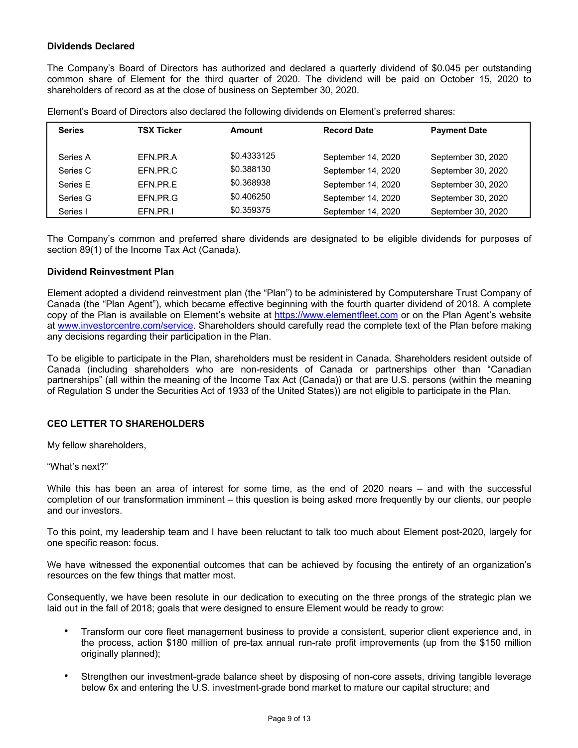## **Dividends Declared**

The Company's Board of Directors has authorized and declared a quarterly dividend of \$0.045 per outstanding common share of Element for the third quarter of 2020. The dividend will be paid on October 15, 2020 to shareholders of record as at the close of business on September 30, 2020.

| <b>Series</b> | TSX Ticker | Amount      | <b>Record Date</b> | <b>Payment Date</b> |
|---------------|------------|-------------|--------------------|---------------------|
| Series A      | FFN.PR.A   | \$0.4333125 | September 14, 2020 | September 30, 2020  |
| Series C      | EFN.PR.C   | \$0.388130  | September 14, 2020 | September 30, 2020  |
| Series E      | FFN.PR.F   | \$0.368938  | September 14, 2020 | September 30, 2020  |
| Series G      | FFN.PR.G   | \$0.406250  | September 14, 2020 | September 30, 2020  |
| Series I      | EFN.PR.I   | \$0.359375  | September 14, 2020 | September 30, 2020  |

Element's Board of Directors also declared the following dividends on Element's preferred shares:

The Company's common and preferred share dividends are designated to be eligible dividends for purposes of section 89(1) of the Income Tax Act (Canada).

#### **Dividend Reinvestment Plan**

Element adopted a dividend reinvestment plan (the "Plan") to be administered by Computershare Trust Company of Canada (the "Plan Agent"), which became effective beginning with the fourth quarter dividend of 2018. A complete copy of the Plan is available on Element's website at https://www.elementfleet.com or on the Plan Agent's website at www.investorcentre.com/service. Shareholders should carefully read the complete text of the Plan before making any decisions regarding their participation in the Plan.

To be eligible to participate in the Plan, shareholders must be resident in Canada. Shareholders resident outside of Canada (including shareholders who are non-residents of Canada or partnerships other than "Canadian partnerships" (all within the meaning of the Income Tax Act (Canada)) or that are U.S. persons (within the meaning of Regulation S under the Securities Act of 1933 of the United States)) are not eligible to participate in the Plan.

#### **CEO LETTER TO SHAREHOLDERS**

My fellow shareholders,

"What's next?"

While this has been an area of interest for some time, as the end of 2020 nears – and with the successful completion of our transformation imminent – this question is being asked more frequently by our clients, our people and our investors.

To this point, my leadership team and I have been reluctant to talk too much about Element post-2020, largely for one specific reason: focus.

We have witnessed the exponential outcomes that can be achieved by focusing the entirety of an organization's resources on the few things that matter most.

Consequently, we have been resolute in our dedication to executing on the three prongs of the strategic plan we laid out in the fall of 2018; goals that were designed to ensure Element would be ready to grow:

- Transform our core fleet management business to provide a consistent, superior client experience and, in the process, action \$180 million of pre-tax annual run-rate profit improvements (up from the \$150 million originally planned);
- Strengthen our investment-grade balance sheet by disposing of non-core assets, driving tangible leverage below 6x and entering the U.S. investment-grade bond market to mature our capital structure; and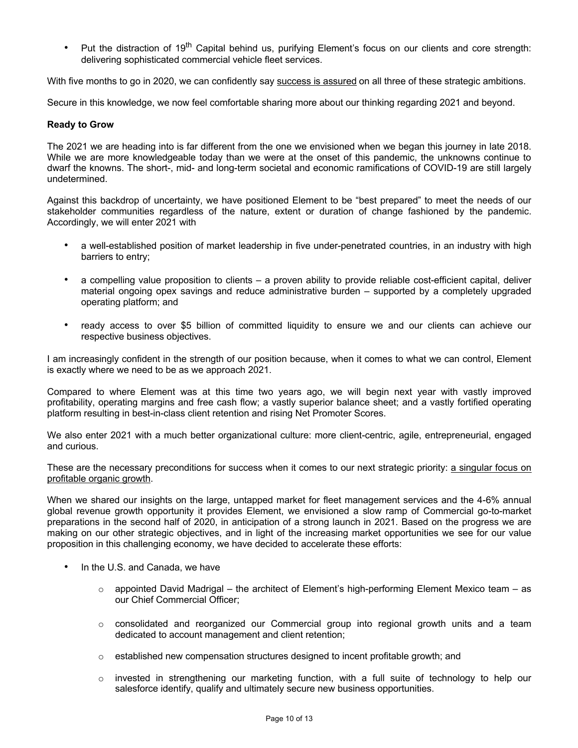Put the distraction of 19<sup>th</sup> Capital behind us, purifying Element's focus on our clients and core strength: delivering sophisticated commercial vehicle fleet services.

With five months to go in 2020, we can confidently say success is assured on all three of these strategic ambitions.

Secure in this knowledge, we now feel comfortable sharing more about our thinking regarding 2021 and beyond.

#### **Ready to Grow**

The 2021 we are heading into is far different from the one we envisioned when we began this journey in late 2018. While we are more knowledgeable today than we were at the onset of this pandemic, the unknowns continue to dwarf the knowns. The short-, mid- and long-term societal and economic ramifications of COVID-19 are still largely undetermined.

Against this backdrop of uncertainty, we have positioned Element to be "best prepared" to meet the needs of our stakeholder communities regardless of the nature, extent or duration of change fashioned by the pandemic. Accordingly, we will enter 2021 with

- a well-established position of market leadership in five under-penetrated countries, in an industry with high barriers to entry;
- a compelling value proposition to clients a proven ability to provide reliable cost-efficient capital, deliver material ongoing opex savings and reduce administrative burden – supported by a completely upgraded operating platform; and
- ready access to over \$5 billion of committed liquidity to ensure we and our clients can achieve our respective business objectives.

I am increasingly confident in the strength of our position because, when it comes to what we can control, Element is exactly where we need to be as we approach 2021.

Compared to where Element was at this time two years ago, we will begin next year with vastly improved profitability, operating margins and free cash flow; a vastly superior balance sheet; and a vastly fortified operating platform resulting in best-in-class client retention and rising Net Promoter Scores.

We also enter 2021 with a much better organizational culture: more client-centric, agile, entrepreneurial, engaged and curious.

These are the necessary preconditions for success when it comes to our next strategic priority: a singular focus on profitable organic growth.

When we shared our insights on the large, untapped market for fleet management services and the 4-6% annual global revenue growth opportunity it provides Element, we envisioned a slow ramp of Commercial go-to-market preparations in the second half of 2020, in anticipation of a strong launch in 2021. Based on the progress we are making on our other strategic objectives, and in light of the increasing market opportunities we see for our value proposition in this challenging economy, we have decided to accelerate these efforts:

- In the U.S. and Canada, we have
	- $\circ$  appointed David Madrigal the architect of Element's high-performing Element Mexico team as our Chief Commercial Officer;
	- $\circ$  consolidated and reorganized our Commercial group into regional growth units and a team dedicated to account management and client retention;
	- $\circ$  established new compensation structures designed to incent profitable growth; and
	- $\circ$  invested in strengthening our marketing function, with a full suite of technology to help our salesforce identify, qualify and ultimately secure new business opportunities.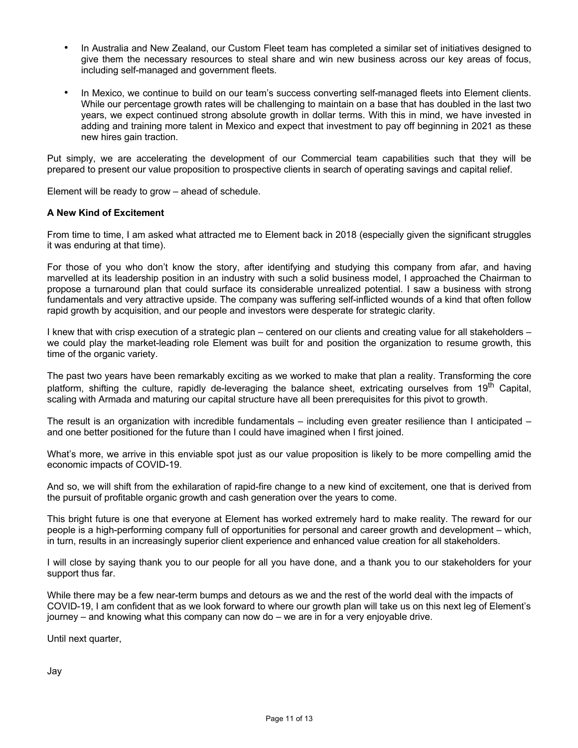- In Australia and New Zealand, our Custom Fleet team has completed a similar set of initiatives designed to give them the necessary resources to steal share and win new business across our key areas of focus, including self-managed and government fleets.
- In Mexico, we continue to build on our team's success converting self-managed fleets into Element clients. While our percentage growth rates will be challenging to maintain on a base that has doubled in the last two years, we expect continued strong absolute growth in dollar terms. With this in mind, we have invested in adding and training more talent in Mexico and expect that investment to pay off beginning in 2021 as these new hires gain traction.

Put simply, we are accelerating the development of our Commercial team capabilities such that they will be prepared to present our value proposition to prospective clients in search of operating savings and capital relief.

Element will be ready to grow – ahead of schedule.

#### **A New Kind of Excitement**

From time to time, I am asked what attracted me to Element back in 2018 (especially given the significant struggles it was enduring at that time).

For those of you who don't know the story, after identifying and studying this company from afar, and having marvelled at its leadership position in an industry with such a solid business model, I approached the Chairman to propose a turnaround plan that could surface its considerable unrealized potential. I saw a business with strong fundamentals and very attractive upside. The company was suffering self-inflicted wounds of a kind that often follow rapid growth by acquisition, and our people and investors were desperate for strategic clarity.

I knew that with crisp execution of a strategic plan – centered on our clients and creating value for all stakeholders – we could play the market-leading role Element was built for and position the organization to resume growth, this time of the organic variety.

The past two years have been remarkably exciting as we worked to make that plan a reality. Transforming the core platform, shifting the culture, rapidly de-leveraging the balance sheet, extricating ourselves from 19<sup>th</sup> Capital, scaling with Armada and maturing our capital structure have all been prerequisites for this pivot to growth.

The result is an organization with incredible fundamentals – including even greater resilience than I anticipated – and one better positioned for the future than I could have imagined when I first joined.

What's more, we arrive in this enviable spot just as our value proposition is likely to be more compelling amid the economic impacts of COVID-19.

And so, we will shift from the exhilaration of rapid-fire change to a new kind of excitement, one that is derived from the pursuit of profitable organic growth and cash generation over the years to come.

This bright future is one that everyone at Element has worked extremely hard to make reality. The reward for our people is a high-performing company full of opportunities for personal and career growth and development – which, in turn, results in an increasingly superior client experience and enhanced value creation for all stakeholders.

I will close by saying thank you to our people for all you have done, and a thank you to our stakeholders for your support thus far.

While there may be a few near-term bumps and detours as we and the rest of the world deal with the impacts of COVID-19, I am confident that as we look forward to where our growth plan will take us on this next leg of Element's journey – and knowing what this company can now do – we are in for a very enjoyable drive.

Until next quarter,

Jay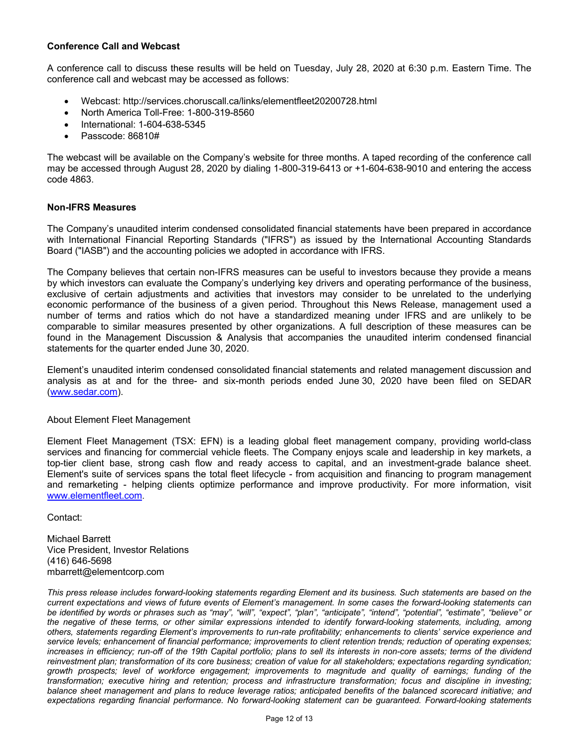## **Conference Call and Webcast**

A conference call to discuss these results will be held on Tuesday, July 28, 2020 at 6:30 p.m. Eastern Time. The conference call and webcast may be accessed as follows:

- Webcast: http://services.choruscall.ca/links/elementfleet20200728.html
- North America Toll-Free: 1-800-319-8560
- International: 1-604-638-5345
- Passcode: 86810#

The webcast will be available on the Company's website for three months. A taped recording of the conference call may be accessed through August 28, 2020 by dialing 1-800-319-6413 or +1-604-638-9010 and entering the access code 4863.

#### **Non-IFRS Measures**

The Company's unaudited interim condensed consolidated financial statements have been prepared in accordance with International Financial Reporting Standards ("IFRS") as issued by the International Accounting Standards Board ("IASB") and the accounting policies we adopted in accordance with IFRS.

The Company believes that certain non-IFRS measures can be useful to investors because they provide a means by which investors can evaluate the Company's underlying key drivers and operating performance of the business, exclusive of certain adjustments and activities that investors may consider to be unrelated to the underlying economic performance of the business of a given period. Throughout this News Release, management used a number of terms and ratios which do not have a standardized meaning under IFRS and are unlikely to be comparable to similar measures presented by other organizations. A full description of these measures can be found in the Management Discussion & Analysis that accompanies the unaudited interim condensed financial statements for the quarter ended June 30, 2020.

Element's unaudited interim condensed consolidated financial statements and related management discussion and analysis as at and for the three- and six-month periods ended June 30, 2020 have been filed on SEDAR (www.sedar.com).

#### About Element Fleet Management

Element Fleet Management (TSX: EFN) is a leading global fleet management company, providing world-class services and financing for commercial vehicle fleets. The Company enjoys scale and leadership in key markets, a top-tier client base, strong cash flow and ready access to capital, and an investment-grade balance sheet. Element's suite of services spans the total fleet lifecycle - from acquisition and financing to program management and remarketing - helping clients optimize performance and improve productivity. For more information, visit www.elementfleet.com.

Contact:

Michael Barrett Vice President, Investor Relations (416) 646-5698 mbarrett@elementcorp.com

*This press release includes forward-looking statements regarding Element and its business. Such statements are based on the current expectations and views of future events of Element's management. In some cases the forward-looking statements can be identified by words or phrases such as "may", "will", "expect", "plan", "anticipate", "intend", "potential", "estimate", "believe" or the negative of these terms, or other similar expressions intended to identify forward-looking statements, including, among others, statements regarding Element's improvements to run-rate profitability; enhancements to clients' service experience and service levels; enhancement of financial performance; improvements to client retention trends; reduction of operating expenses; increases in efficiency; run-off of the 19th Capital portfolio; plans to sell its interests in non-core assets; terms of the dividend reinvestment plan; transformation of its core business; creation of value for all stakeholders; expectations regarding syndication; growth prospects; level of workforce engagement; improvements to magnitude and quality of earnings; funding of the transformation; executive hiring and retention; process and infrastructure transformation; focus and discipline in investing; balance sheet management and plans to reduce leverage ratios; anticipated benefits of the balanced scorecard initiative; and expectations regarding financial performance. No forward-looking statement can be guaranteed. Forward-looking statements*